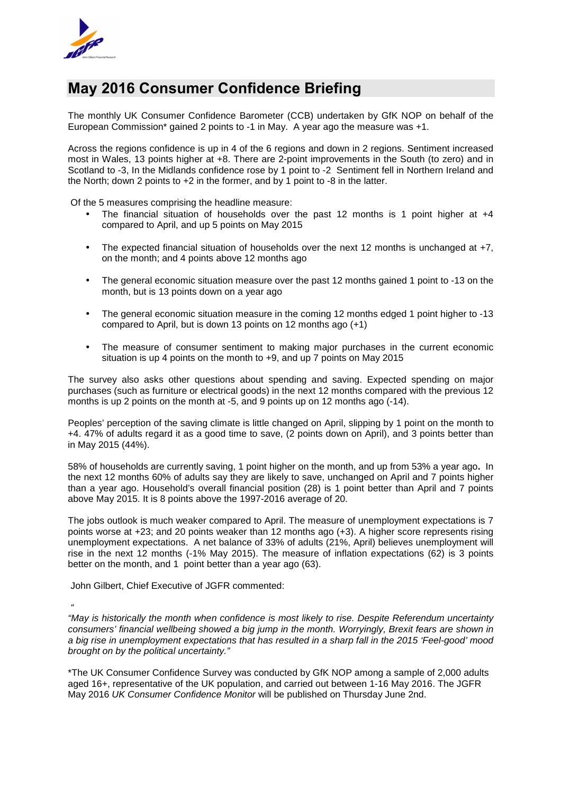

## **May 2016 Consumer Confidence Briefing**

The monthly UK Consumer Confidence Barometer (CCB) undertaken by GfK NOP on behalf of the European Commission\* gained 2 points to -1 in May. A year ago the measure was +1.

Across the regions confidence is up in 4 of the 6 regions and down in 2 regions. Sentiment increased most in Wales, 13 points higher at +8. There are 2-point improvements in the South (to zero) and in Scotland to -3, In the Midlands confidence rose by 1 point to -2 Sentiment fell in Northern Ireland and the North; down 2 points to +2 in the former, and by 1 point to -8 in the latter.

Of the 5 measures comprising the headline measure:

- The financial situation of households over the past 12 months is 1 point higher at  $+4$ compared to April, and up 5 points on May 2015
- The expected financial situation of households over the next 12 months is unchanged at +7, on the month; and 4 points above 12 months ago
- The general economic situation measure over the past 12 months gained 1 point to -13 on the month, but is 13 points down on a year ago
- The general economic situation measure in the coming 12 months edged 1 point higher to -13 compared to April, but is down 13 points on 12 months ago (+1)
- The measure of consumer sentiment to making major purchases in the current economic situation is up 4 points on the month to +9, and up 7 points on May 2015

The survey also asks other questions about spending and saving. Expected spending on major purchases (such as furniture or electrical goods) in the next 12 months compared with the previous 12 months is up 2 points on the month at -5, and 9 points up on 12 months ago (-14).

Peoples' perception of the saving climate is little changed on April, slipping by 1 point on the month to +4. 47% of adults regard it as a good time to save, (2 points down on April), and 3 points better than in May 2015 (44%).

58% of households are currently saving, 1 point higher on the month, and up from 53% a year ago**.** In the next 12 months 60% of adults say they are likely to save, unchanged on April and 7 points higher than a year ago. Household's overall financial position (28) is 1 point better than April and 7 points above May 2015. It is 8 points above the 1997-2016 average of 20.

The jobs outlook is much weaker compared to April. The measure of unemployment expectations is 7 points worse at +23; and 20 points weaker than 12 months ago (+3). A higher score represents rising unemployment expectations. A net balance of 33% of adults (21%, April) believes unemployment will rise in the next 12 months (-1% May 2015). The measure of inflation expectations (62) is 3 points better on the month, and 1 point better than a year ago (63).

John Gilbert, Chief Executive of JGFR commented:

"

"May is historically the month when confidence is most likely to rise. Despite Referendum uncertainty consumers' financial wellbeing showed a big jump in the month. Worryingly, Brexit fears are shown in a big rise in unemployment expectations that has resulted in a sharp fall in the 2015 'Feel-good' mood brought on by the political uncertainty."

\*The UK Consumer Confidence Survey was conducted by GfK NOP among a sample of 2,000 adults aged 16+, representative of the UK population, and carried out between 1-16 May 2016. The JGFR May 2016 UK Consumer Confidence Monitor will be published on Thursday June 2nd.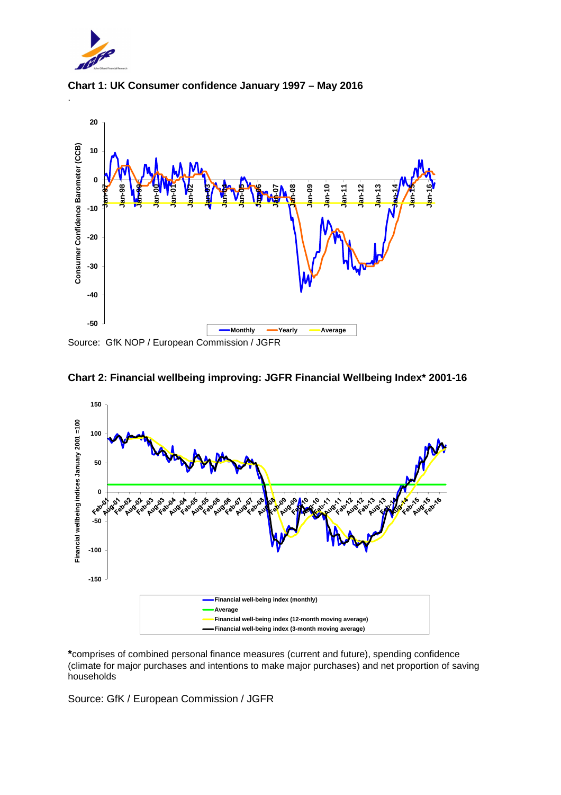

.

**Chart 1: UK Consumer confidence January 1997 – May 2016** 



Source: GfK NOP / European Commission / JGFR





**\***comprises of combined personal finance measures (current and future), spending confidence (climate for major purchases and intentions to make major purchases) and net proportion of saving households

Source: GfK / European Commission / JGFR